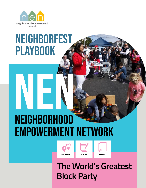

## **NEIGHBORFEST** playbook

# **NEIGHBORHOOD** Empowerment Network NEN DONE OF STREET





 **The World's Greatest Block Party**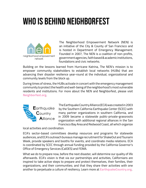## who is behind neighborfest



The Neighborhood Empowerment Network (NEN) is an initiative of the City & County of San Francisco and is hosted in Department of Emergency Management. Founded in 2007, The NEN is a coalition of non-profits, government agencies, faith based & academic institutions, foundations and civic networks.

Building on the lessons learned from Hurricane Katrina, The NEN's mission is to empower community stakeholders to establish local networks (HUBs) that are advancing their disaster resilience year-round at the individual, organizational and community levels from the block up.

During times of stress, the HUBs activate in concert with the emergency management community to protect the health and well-being of the neighborhood's most vulnerable residents and institutions. For more about the NEN and Neighborfest, please visit **Neighborfest.org**.



The Earthquake Country Alliance (ECA) was created in 2003 by the Southern California Earthquake Center (SCEC) with many partner organizations in southern California, and in 2009 became a statewide public-private-grassroots organization with additional regional alliances in the San Francisco Bay Area and Redwood Coast, all which organize

local activities and coordination.

ECA's sector-based committees develop resources and programs for statewide audiences, and ECA's outreach bureaus manage recruitment for ShakeOut and Tsunami Week, provide speakers and booths for events, and coordinate media relations. ECA is coordinated by SCEC through annual funding provided by the California Governor's Office of Emergency Services (CalOES) and FEMA.

What we do to prepare now, before the next disaster, will determine our quality of life afterwards. ECA's vision is that via our partnerships and activities, Californians are inspired to take active steps to prepare and protect themselves, their families, their organizations, and their communities; and that they share their activities with one another to perpetuate a culture of resiliency. Learn more at **EarthquakeCountry.org**.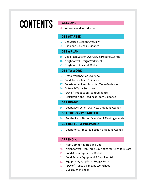## CONTENTS **WELCOME**

Welcome and Introduction 4

#### **GET STARTED**

- 5 Get Started Section Overview
- Chair and Co-Chair Guidance 8

#### **GET A PLAN**

- 10 Get a Plan Section Overview & Meeting Agenda
- 16 Neighborfest Design Worksheet
- 21 Neighborfest Layout Worksheet

#### **GET TO WORK**

- 23 Get to Work Section Overview
- 24 Food Service Team Guidance
- Entertainment and Activities Team Guidance 27
- 29 Outreach Team Guidance
- 32 "Day of" Production Team Guidance
- 34 Registration and Readiness Team Guidance

#### **GET READY**

Get Ready Section Overview & Meeting Agenda 36

#### **GET THE PARTY STARTED**

Get the Party Started Overview & Meeting Agenda 39

#### **GET BETTER & PREPARED**

Get Better & Prepared Section & Meeting Agenda 41

#### **APPENDIX**

- Host Committee Tracking Doc 47
- Neighborfest Flyer/Three-Day Notice for Neighbors' Cars 48
- Food & Beverage Menu Worksheet 49
- Food Service Equipment & Supplies List 51
- Equipment, Supplies & Budget Form 52
- "Day of" Tasks & Timeline Worksheet 53
- Guest Sign in Sheet 54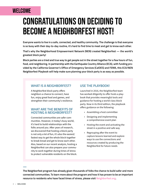## **WELCOME**

## CONGRATULATIONS ON DECIDING TO BECOME A NEIGHBORFEST HOST!

**Everyone wants to live in a safe, connected, and healthy community. The challenge is that everyone is so busy with their day-to-day routine, it's hard to find time to meet and get to know each other.** 

**That's why the Neighborhood Empowerment Network (NEN) created Neighborfest — the world's greatest block party!** 

**Block parties are a tried and true way to get people out in the street together for a few hours of fun, food, and neighboring. In partnership with the Earthquake Country Alliance (ECA), with funding provided by the California Governor's Office of Emergency Services (CalOES) and FEMA, this ECA/NEN Neighborfest Playbook will help make sure planning your block party is as easy as possible.** 

#### **WHAT IS A NEIGHBORFEST?**

A Neighborfest block party offers neighbors a chance to connect, have fun, enjoy great food and games, and strengthen their community's resilience.

#### **WHAT ARE THE BENEFITS OF HOSTING A NEIGHBORFEST?**

Connected communities are safer communities. However, in today's busy world, it's hard to build relationships with the folks around you. After years of research, we discovered that hosting a block party is not only a lot of fun, it's also the easiest/ fastest way to get the whole block together to break bread and get to know each other. Also, based on our recent analysis, hosting a Neighborfest can also prepare your community to work together during times of stress to protect vulnerable residents on the block.

#### **USE THE PLAYBOOK!**

Launched in 2016, the Neighborfest team has worked diligently to offer hosts a playbook that provides meaningful tools and guidance for hosting a world-class block party. Now in its third edition, the playbook offers guidance on the following:

- Assembling a host committee
- Designing and implementing a comprehensive event plan
- Hosting the event and activating the street in a positive and safe way
- Regrouping after the event to capture lessons learned and explore ways to use the connections and resources created by producing the Neighborfest for future needs

**The Neighborfest program has already given thousands of folks the chance to build safer and more connected communities. To learn more about the program and how it has proven to be an important resource to residents who have faced times of stress, please visit Neighborfest.org.**

**—**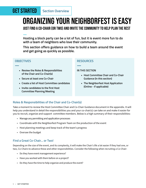## **GET STARTED** Section Overview

## Organizing your Neighborfest is easy

just find a Co-Chair (or two) and invite the community to help plan the rest

**— Hosting a block party can be a lot of fun, but it is event more fun to do with a team of neighbors who love their community.** 

**This section offers guidance on how to build a team around the event and get going as quickly as possible.**

#### **OBJECTIVES**

**—**

- **• Review the Roles & Responsibilities of the Chair and Co-Chair(s)**
- **• Secure at least one Co-Chair**
- **• Create a list of Host Committee candidates**
- **• Invite candidates to the first Host Committee Planning Meeting**

#### **RESOURCES**

**—**

#### **IN THIS SECTION**

- **• Host Committee Chair and Co-Chair Guidance (in this section)**
- **• The Neighborfest Host Application (Online - if applicable)**

#### **Roles & Responsibilities of the Chair and Co-Chair(s)**

Take a moment to review the Host Committee Chair and Co-Chair Guidance document in the appendix. It will help you understand in detail the responsibilities you and your co-chair(s) can take on and make it easier for you to recruit, organize and support committee members. Below is a high summary of their responsibilities:

- Manage any permitting and application processes
- Coordinate with the Neighborfest Program Team on the production of the event
- Host planning meetings and keep track of the team's progress
- Oversee the budget

#### **Find a Great Co-Chair… or Two!**

Depending on the size of the event, and its complexity, it will make the Chair's life a lot easier if they had one, or two, Co-Chairs to advance these and other responsibilities. Consider the following when recruiting a Co-Chair:

- Do they have event management experience?
- Have you worked with them before on a project?
- Do they have the time to help organize and produce the event?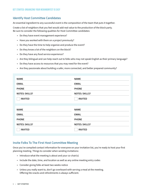#### **Identify Host Committee Candidates**

An essential ingredient to any successful event is the composition of the team that puts it together.

Create a list of neighbors that you feel would add real value to the production of the block party. Be sure to consider the following qualities for Host Committee candidates:

- Do they have event management experience?
- Have you worked with them on a project previously?
- Do they have the time to help organize and produce the event?
- Do they know a lot of the neighbors on the block?
- Do they have any food service experience?
- Are they bilingual and can help reach out to folks who may not speak English as their primary language?
- Do they have access to resources that you may need for the event?
- Are they passionate about building a safer, more connected, and better prepared community?

| <b>NAME</b>           | <b>NAME</b>           |
|-----------------------|-----------------------|
| <b>EMAIL</b>          | <b>EMAIL</b>          |
| <b>PHONE</b>          | <b>PHONE</b>          |
| <b>NOTES: SKILLS?</b> | <b>NOTES: SKILLS?</b> |
| <b>INVITED</b>        | <b>INVITED</b>        |
| <b>NAME</b>           | <b>NAME</b>           |
| <b>EMAIL</b>          | <b>EMAIL</b>          |
| <b>PHONE</b>          | <b>PHONE</b>          |
| <b>NOTES: SKILLS?</b> | <b>NOTES: SKILLS?</b> |
| <b>INVITED</b>        | <b>INVITED</b>        |

#### **Invite Folks To The First Host Committee Meeting**

Once you've compiled contact information for everyone on your invitation list, you're ready to host your first planning meeting. Things to consider when sending invitations:

- Introduce what the meeting is about and your co-chair(s)
- Include the date, time, and location as well as any online meeting entry codes
- Consider giving folks at least two weeks notice
- Unless you really want to, don't go overboard with serving a meal at the meeting. Offering lite snacks and refreshments is always sufficient.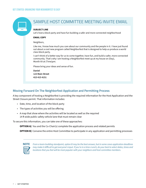

#### **SUBJECT LINE**

Let's host a block party and have fun building a safer and more connected neighborhood

#### **EMAIL COPY**

Neighbors,

Like me, I know how much you care about our community and the people in it. I have just found out about a cool new program called Neighborfest that is designed to help us produce a world class block party.

I can't think of a better way for us to come together, have fun, and build a safer, more connected community. That's why I am hosting a Neighborfest meet up at my house on (Day), Month XX at (Time)pm.

Please bring your ideas and sense of fun.

**Daniel 123 Main Street 415 415 4151**

#### **Moving Forward On The Neighborfest Application and Permitting Process**

A key component of hosting a Neighborfest is providing the required information for the Host Application and the Street Closure permit. That information includes:

- Date, time, and location of the block party
- The types of activities you will be offering
- A map that show where the activities will be located as well as the required 14 ft wide public safety vehicle lane that must remain clear

To secure this information, you can take one of these approaches:

**OPTION A)** You and the Co-Chair(s) complete the application process and related permits

**OPTION B)** Convene the entire Host Committee to participate in any application and permitting processes

*From a team-building standpoint, option B may be the best answer, but in some cases application deadlines may make it difficult to get everyone's input. If you're in a time crunch, do your best to select dates, times and locations that you feel will be most popular with your neighbors and host committee members.*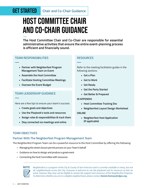## **GET STARTED** Chair and Co-Chair Guidance

## Host Committee Chair and Co-Chair Guidance **—**

**The Host Committee Chair and Co-Chair are responsible for essential administrative activities that ensure the entire event-planning process is efficient and financially sound.** 

#### **TEAM RESPONSIBILITIES**

**—**

**—**

- **• Partner with Neighborfest Program Management Team on Event**
- **• Assemble the Host Committee**
- **• Facilitate Hosting Committee Meetings**
- **• Oversee the Event Budget**

#### **TEAM LEADERSHIP GUIDANCE**

Here are a few tips to ensure your team's success:

- **• Create goals and objectives**
- **• Use the Playbook's tools and resources**
- **• Assign roles & responsibilities & track them**
- **• Stay connected via meetings and online**

#### **RESOURCES**

**—**

Refer to the meeting facilitation guides in the following sections:

- **• Get a Plan**
- **• Get to Work**
- **• Get Ready**
- **• Get the Party Started**
- **• Get Better & Prepared**

#### **IN APPENDIX**

- **• Host Committee Tracking Doc**
- **• Neighborfest Layout Design Worksheet**

#### **ONLINE**

**• Neighborfest Host Application (If applicable)**

#### **TEAM OBJECTIVES**

#### **Partner With The Neighborfest Program Management Team**

The Neighborfest Program Team can be a powerful resource to the Host Committee by offering the following:

- Managing the street closure permit process on your Team's behalf
- Guidance on how to design and produce a great event
- Connecting the Host Committee with resources



*Neighborfest is a program of the City & County of San Francisco and is currently available in many, but not all, neighborhoods across the City. Everyone is welcome to use the playbook and its resources to host an event, however they may not be eligible to receive the support and resources of the Neighborfest Program. To determine whether you are in a eligible neighborhood, please contact Daniel.Homsey@sfgov.org.*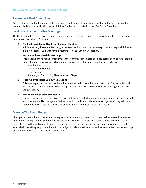#### **Assemble A Host Committee**

An essential task for the Chair and Co-Chair is to assemble a robust Host Committee that will design the Neighborfest and divide up the production responsibilities. Guidance for this task in the "Get Started" section

#### **Facilitate Host Committee Meetings**

The Host Committee needs to determine how often and why they want to meet. It is recommended that the Host Committee meet at least four times.

#### **1. The First Host Committee Event Planning Meeting**

At this meeting, the committee designs the event and assumes the necessary roles and responsibilities to make it a success. Guidance for this meeting is in the "Get a Plan" section.

#### **2. Host Committee Check-in Meetings**

This meeting can happen as frequently as the Committee members decide is necessary to ensure that the event planning process proceeds as smoothly as possible. Consider using the agenda below:

- Introductions
- Topline Event Updates
- Team Updates
- Summary of Outstanding Needs and Next Steps

#### **3. Final Pre-Event Host Committee Meeting**

This meeting allows the team to share final updates, solicit last minute support, craft "day-of" roles and responsibilities and inventory essential supplies and resources. Guidance for this meeting is in the "Get Ready" section.

#### **4. Post Event Host Committee Debrief**

This meeting allows the team to inventory what worked and what didn't work and capture lessons learned for future events. Also the agenda features a section dedicated to how to work together during a disaster should one occur. Guidance for this meeting is in the "Get Better & Prepared" section.

#### **Oversee The Event Budget**

Block parties do not have to be expensive to produce, but there may be costs that need to be covered by the Host Committee. The Equipment, Supplies and Budget Form (found in the appendix) allows the Team Leads, and Chairs, to identify items that will require funding. Be sure to identify these items early in the event design process and secure by in from the group to add them to the budget. It's always a downer when host committee members end up on the hook for costs that were never agreed upon.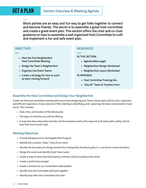**Block parties are an easy and fun way to get folks together to connect and become friends. The secret is to assemble a great host committee and create a great event plan. This section offers the chair and co-chair guidance on how to assemble a well organized Host Committee to craft and implement a fun and safe event plan.**

#### **OBJECTIVES**

**—**

**—**

- **• Host the first Neighborfest Host Committee Meeting**
- **• Design the Team's Neighborfest**
- **• Organize into Event Teams**
- **• Create a strategy for how to work as team moving forward**

#### **RESOURCES**

**— IN THIS SECTION:** 

- **• Agenda (Next page)**
- **• Neighborfest Design Worksheet**
- **• Neighborfest Layout Worksheet**

#### **IN APPENDIX**

- **• Host Committee Tracking Doc**
- **• "Day Of" Tasks & Timeline Form**

#### **Assemble the Host Committee and Design Your Neighborfest**

A well-run first host committee meeting will ensure that designing your Team's block party will be a fun, organized, and efficient experience. A key outcome of this meeting is identifying, and capturing, the basic components of your event. This includes:

- Date, time, and location of the block party
- The types of activities you will be offering
- A map that show where the activities will be located as well as the required 14 ft wide public safety vehicle lane that must remain clear

#### **Meeting Objectives**

- Provide Background on the Neighborfest Program
- Identify the Location / Date / Time of our event
- Identify the boundary for doing outreach for inviting folks the block party (i.e. one block in each direction)
- Design the event and identify Event Team Leads
- Create a map of where the block party's activities will be located on the street
- Create a preliminary budget
- Create a timeline for our Committee's deliverables
- Identify how the Committee will work together
- Identify how often the Committee will meet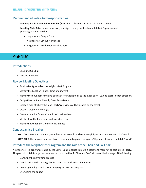#### **Recommended Roles And Responsibilities**

**Meeting Facilitator (Chair or Co-Chair):** Facilitates the meeting using the agenda below

**Meeting Note Taker:** Makes sure everyone signs the sign in sheet completely & Captures event planning activities on the:

- Neighborfest Design Form
- Neighborfest Layout Worksheet
- Neighborfest Production Timeline Form

### AGENDA

#### **Introductions**

- Chair and Co-Chair
- Meeting attendees

#### **Review Meeting Objectives**

- Provide Background on the Neighborfest Program
- Identify the Location / Date / Time of our event
- Identify the boundary for doing outreach for inviting folks to the block party (i.e. one block in each direction)
- Design the event and identify Event Team Leads
- Create a map of where the block party's activities will be located on the street
- Create a preliminary budget
- Create a timeline for our Committee's deliverables
- Identify how the Committee will work together
- Identify how often the Committee will meet

#### **Conduct an Ice Breaker**

**OPTION 1:** Has our community ever hosted an event like a block party? If yes, what worked and didn't work? **OPTION 2:** Has anyone here ever hosted or attended a great block party? If yes, what worked and didn't work?

#### **Introduce the Neighborfest Program and the role of the Chair and Co-Chair**

Neighborfest is a program created by the City of San Francisco to make it easier and more fun to host a block party. The goal is to build stronger, more connected communities. As Chair and Co-Chair, we will be in charge of the following:

- Managing the permitting process
- Coordinating with the Neighborfest team the production of our event
- Hosting planning meetings and keeping track of our progress
- Overseeing the budget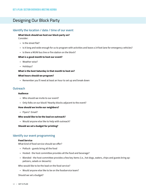## Designing Our Block Party

#### **Identify the location / date / time of our event**

#### **What block should we host our block party on?**

Consider:

- Is the street flat?
- Is it long and wide enough for us to program with activities and leave a 14 foot lane for emergency vehicles?
- Is there a MUNI bus line or fire station on the block?

#### **What is a good month to host our event?**

- Weather-wise?
- Holidays?

#### **What is the best Saturday in that month to host on?**

#### **What hours should we program?**

• Remember you'll need at least an hour to set up and break down

#### **Outreach**

#### **Audience**

- Who should we invite to our event?
- Only folks on our block? Nearby blocks adjacent to the event?

#### **How should we invite our neighbors?**

• Flyers? Email?

#### **Who would like to be the lead on outreach?**

• Would anyone else like to help with outreach?

**Should we set a budget for printing?**

#### **Identify our event programming**

#### **Food Service**

What kind of food service should we offer?

- Potluck guests bring all the food
- Hosted the host committee provides all the food and beverage?
- Blended the host committee provides a few key items (i.e., hot dogs, waters, chips and guests bring appetizers, salads or desserts)

Who would like to be the lead on the food service?

• Would anyone else like to be on the foodservice team?

Should we set a budget?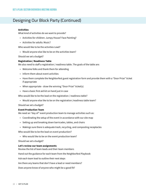## Designing Our Block Party (Continued)

#### **Activities**

What kind of activities do we want to provide?

- Activities for children: Jumpy House? Face Painting?
- Activities for adults: Music?

Who would like to be the activities Lead?

• Would anyone else like to be on the activities team?

Should we set a budget?

#### **Registration / Readiness Table**

We also need to staff a registration / readiness table. The goals of the table are:

- Welcome folks and thank them for attending
- Inform them about event activities
- Have them complete the Neighborfest guest registration form and provide them with a "Door Prize" ticket if appropriate
- When appropriate draw the winning "Door Prize" ticket(s)
- Have a basic first aid kit on hand just in case

Who would like to be the lead on the registration / readiness table?

• Would anyone else like to be on the registration /readiness table team?

Should we set a budget?

#### **Event Production Team**

We need an "day of" event production team to manage activities such as:

- Coordinating the setup of the event in accordance with our site map
- Setting up and breaking down barricades, tables, and chairs
- Makings sure there is adequate trash, recycling, and composting receptacles

Who would like to be the lead on event production?

• Who would like to be on the event production team?

Should we set a budget?

#### **Let's review our team assignments**

Review the list of team leads and their team members

Hand out the guidance for each team from the Neighborfest Playbook

Ask each team lead to outline their next steps

Are there any teams that don't have a lead or need members?

Does anyone know of anyone who might be a good fit?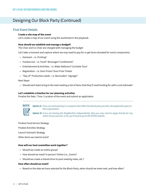## Designing Our Block Party (Continued)

#### **Final Event Details**

#### **Create a site map of the event**

Let's create a map of our event using the worksheet in the playbook.

#### **How should we establish and manage a budget?**

The Chair and Co-Chair are charged with managing the budget

Let's take a moment and capture where we may need to pay for or get items donated for event components:

- Outreach i.e. Printing?
- Foodservice i.e. Food? Beverages? Condiments?
- Entertainment & Activities i.e. Water Balloons? Cornhole Toss?
- Registration i.e. Door Prizes? Door Prize Tickets
- "Day of" Production needs i.e. Barricades? Signage?

#### Next Steps:

• Should each team bring to the next meeting a list of items that they'll need funding for with a cost estimate?

#### **Let's establish a timeline for our planning activities**

Finalize the Date / Time / Location of the event and submit an application

*Option A: If you are participating in a program that offers free block party permits, the application goes to that organization.*

*Option B: If you are hosting the Neighborfest independently, then you may need to apply directly for any street closure permits. In SF, you'll need to go to the SFMTA website.*

Finalize Food Service Strategy

Finalize Activities Strategy

Launch Outreach Strategy

Other items we need to track?

#### **How will our host committee work together?**

- Should we create an online group?
- How should we meet? In person? Online (i.e., Zoom)?
- Should we create a shared drive to post meeting notes, etc.?

#### **How often should we meet?**

• Based on the date we have selected for the Block Party, when should we meet next, and how often?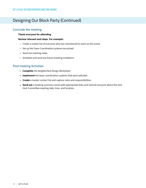## Designing Our Block Party (Continued)

#### **Conclude the meeting**

#### **Thank everyone for attending**

#### **Review relevant next steps. For example:**

- Create a master list of everyone who has volunteered to work on this event.
- Set up the Team Coordination systems we picked.
- Send out meeting notes.
- Schedule and send out future meeting invitations.

#### **Post meeting Activities**

- **• Complete** the Neighborfest Design Worksheet
- **• Implement** the team coordination systems that were selected.
- **• Create** a master contact list and capture roles and responsibilities.
- **• Send out** a meeting summary email with appropriate links and remind everyone about the next Host Committee meeting date, time, and location.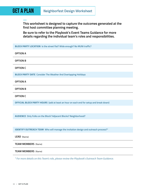**—**

**This worksheet is designed to capture the outcomes generated at the first host committee planning meeting.** 

**Be sure to refer to the Playbook's Event Teams Guidance for more details regarding the individual team's roles and responsibilities.**

**BLOCK PARTY LOCATION Is the street flat? Wide enough? No MUNI traffic?**

**OPTION A**

**OPTION B**

**OPTION C**

**BLOCK PARTY DATE Consider The Weather And Overlapping Holidays**

**OPTION A**

**OPTION B**

**OPTION C**

**OFFICIAL BLOCK PARTY HOURS (add at least an hour on each end for setup and break down)**

**AUDIENCE Only Folks on the Block? Adjacent Blocks? Neighborhood?**

**IDENTIFY OUTREACH TEAM Who will manage the invitation design and outreach process?\***

**LEAD** (Name)

**TEAM MEMBERS** (Name)

#### **TEAM MEMBERS** (Name)

*\* For more details on this Team's role, please review the Playbook's Outreach Team Guidance.*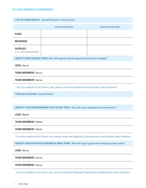| TYPE OF FOOD SERVICE Hosted? Potluck? A little of both?                                                          |                                                                                            |                            |  |
|------------------------------------------------------------------------------------------------------------------|--------------------------------------------------------------------------------------------|----------------------------|--|
|                                                                                                                  | <b>Hosts will provide</b>                                                                  | <b>Guests will provide</b> |  |
| <b>FOOD</b>                                                                                                      |                                                                                            |                            |  |
| <b>BEVERAGE</b>                                                                                                  |                                                                                            |                            |  |
| <b>SUPPLIES</b><br>(i.e., silverware/plates)                                                                     |                                                                                            |                            |  |
|                                                                                                                  | <b>IDENTIFY FOOD SERVICE TEAM</b> Who will organize and manage the food service strategy?* |                            |  |
| <b>LEAD</b> (Name)                                                                                               |                                                                                            |                            |  |
| <b>TEAM MEMBERS (Name)</b>                                                                                       |                                                                                            |                            |  |
| <b>TEAM MEMBERS (Name)</b>                                                                                       |                                                                                            |                            |  |
| * For more details on this Team's role, please review the Playbook's Food Service Team Guidance.                 |                                                                                            |                            |  |
| <b>TYPES OF ACTIVITIES Games? Music?</b>                                                                         |                                                                                            |                            |  |
|                                                                                                                  |                                                                                            |                            |  |
| <b>IDENTIFY THE ENTERTAINMENT &amp; ACTIVITIES TEAM</b> Who will secure equipment and volunteers?*               |                                                                                            |                            |  |
| <b>LEAD Name</b>                                                                                                 |                                                                                            |                            |  |
| <b>TEAM MEMBERS Name</b>                                                                                         |                                                                                            |                            |  |
| <b>TEAM MEMBERS Name</b>                                                                                         |                                                                                            |                            |  |
| * For more details on this Team's role, please review the Playbook's Entertainment and Activities Team Guidance. |                                                                                            |                            |  |
| <b>IDENTIFY REGISTRATION &amp; READINESS TABLE TEAM</b> Who will sign in guests and manage any door prizes*      |                                                                                            |                            |  |
| LEAD (Name)                                                                                                      |                                                                                            |                            |  |
| <b>TEAM MEMBERS (Name)</b>                                                                                       |                                                                                            |                            |  |

**TEAM MEMBERS** (Name)

*\* For more details on this Team's role, please review the Playbook's Registration and Readiness Team Guidance.*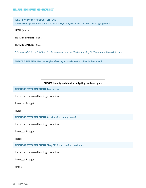#### **IDENTIFY "DAY OF" PRODUCTION TEAM**

**Who will set up and break down the block party?\* (i.e., barricades / waste cans / signage etc.)**

**LEAD** (Name)

**TEAM MEMBERS** (Name)

#### **TEAM MEMBERS** (Name)

*\* For more details on this Team's role, please review the Playbook's "Day Of" Production Team Guidance.* 

**CREATE A SITE MAP Use the Neighborfest Layout Worksheet provided in the appendix.**

**BUDGET Identify early topline budgeting needs and goals.**

**NEIGHBORFEST COMPONENT Foodservice**

Items that may need funding / donation

Projected Budget

Notes

**NEIGHBORFEST COMPONENT Activities (i.e., Jumpy House)**

Items that may need funding / donation

Projected Budget

Notes

**NEIGHBORFEST COMPONENT "Day Of" Production (i.e., barricades)**

Items that may need funding / donation

Projected Budget

Notes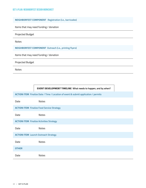**NEIGHBORFEST COMPONENT Registration (i.e., barricades)**

Items that may need funding / donation

Projected Budget

Notes

**NEIGHBORFEST COMPONENT Outreach (i.e., printing flyers)**

Items that may need funding / donation

Projected Budget

Notes

| EVENT DEVELOPMENT TIMELINE What needs to happen, and by when? |
|---------------------------------------------------------------|
|---------------------------------------------------------------|

**ACTION ITEM Finalize Date / Time / Location of event & submit application / permits**

| Date                                            | <b>Notes</b>                                      |  |
|-------------------------------------------------|---------------------------------------------------|--|
|                                                 | <b>ACTION ITEM Finalize Food Service Strategy</b> |  |
| Date                                            | <b>Notes</b>                                      |  |
| <b>ACTION ITEM Finalize Activities Strategy</b> |                                                   |  |
| Date                                            | <b>Notes</b>                                      |  |
| <b>ACTION ITEM Launch Outreach Strategy</b>     |                                                   |  |
| Date                                            | Notes                                             |  |
| <b>OTHER</b>                                    |                                                   |  |
| Date                                            | <b>Notes</b>                                      |  |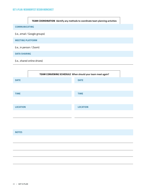**TEAM COORDINATION Identify any methods to coordinate team planning activities**

#### **COMMUNICATING**

(i.e., email / Google groups)

**MEETING PLATFORM**

(i.e., in person / Zoom)

**DATA SHARING**

(i.e., shared online drives)



#### **NOTES**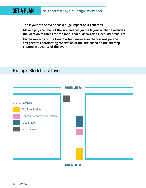## GET A PLAN **Neighborfest Layout Design Worksheet**

**The layout of the event has a huge impact on its success.** 

**Make a physical map of the site and design the layout so that it includes the location of tables for the food, chairs, decorations, activity areas, etc.**

**On the morning of the Neighborfest, make sure there is one person assigned to coordinating the set-up of the site based on the sitemap created in advance of the event.**

## **AVENUE B AVENUE A Barricade** Check-In Station Disaster Preparedness Station Food Station **Entertainment**

## Example Block Party Layout

**—**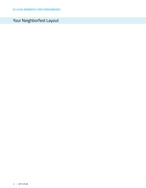## Your Neighborfest Layout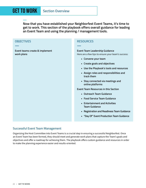**— Now that you have established your Neighborfest Event Teams, it's time to get to work. This section of the playbook offers overall guidance for leading an Event Team and using the planning / management tools.**

#### **OBJECTIVES — Event teams create & implement work plans RESOURCES — Event Team Leadership Guidance**  Here are a few tips to ensure your team's success: **• Convene your team • Create goals and objectives • Use the Playbook's tools and resources • Assign roles and responsibilities and track them • Stay connected via meetings and online platforms Event Team Resources in this Section • Outreach Team Guidance • Food Service Team Guidance • Entertainment and Activities Team Guidance • Registration and Readiness Team Guidance**

#### **• "Day Of" Event Production Team Guidance**

#### **Successful Event Team Management**

Organizing the Host Committee into Event Teams is a crucial step in ensuring a successful Neighborfest. Once an Event Team has been formed, they should meet and generate work plans that capture the Team's goals and objectives and offer a roadmap for achieving them. The playbook offers custom guidance and resources in order to make the planning experience easier and results-oriented.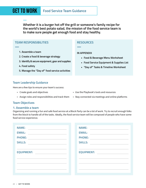**Whether it is a burger hot off the grill or someone's family recipe for the world's best potato salad, the mission of the food service team is to make sure people get enough food and stay healthy.**

#### **TEAM RESPONSIBILITIES**

**—**

**—**

- **1. Assemble a team**
- **2. Create a food & beverage strategy**
- **3. Identify & secure equipment, gear and supplies**
- **4. Food safety**
- **5. Manage the "Day of" food service activities**

#### **Team Leadership Guidance**

Here are a few tips to ensure your team's success:

- 
- 
- Create goals and objectives  **In the Playbook's tools and resources**
- Assign roles and responsibilities and track them Stay connected via meetings and online platforms

#### **Team Objectives**

#### **1. Assemble a team**

Organizing and running a fun and safe food service at a Block Party can be a lot of work. Try to recruit enough folks from the block to handle all of the tasks. Ideally, the food service team will be composed of people who have some food service experience.

| <b>NAME:</b>      | <b>NAME:</b>      |
|-------------------|-------------------|
| <b>EMAIL:</b>     | <b>EMAIL:</b>     |
| <b>PHONE:</b>     | <b>PHONE:</b>     |
| <b>SKILLS:</b>    | <b>SKILLS:</b>    |
|                   |                   |
| <b>EQUIPMENT:</b> | <b>EQUIPMENT:</b> |
|                   |                   |
|                   |                   |
|                   |                   |
|                   |                   |

#### **RESOURCES**

#### **IN APPENDIX**

**—**

- **• Food & Beverage Menu Worksheet**
- **• Food Service Equipment & Supplies List**
- **• "Day of" Tasks & Timeline Worksheet**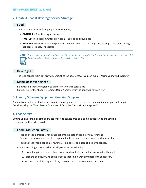#### **2. Create A Food & Beverage Service Strategy**

#### **Food**

There are three ways to feed people at a Block Party.

- **• POTLUCK** \* Guests bring all the food
- **• HOSTED** The host committee provides all the food and beverages
- **• BLENDED** The host committee provides a few key items (i.e., hot dogs, waters, chips) and guests bring appetizers, salads, or desserts.



*If you decide to go with a potluck, consider assigning items by the first letter of the person's last name (i.e., A-G*  \* **TIP***brings salads, H-L brings entrees, L-Q brings beverages, etc.)*

#### **Beverages**

The food service team can provide some/all of the beverages, or you can make it "bring your own beverage."

#### **Menu Ideas Worksheet:**

Below is a quick planning table to capture your team's early ideas. Consider using the "Food & Beverage Menu Worksheet" in the appendix for planning.

#### **3. Identify & Secure Equipment, Gear And Supplies**

A smooth and satisfying food service requires making sure the team has the right equipment, gear and supplies. Consider using the "Food Service Equipment & Supplies Checklist" in the appendix.

#### **4. Food Safety**

Setting up and running a safe and functional food service area on a public street can be challenging. Here are a few things to consider:

#### **Food Production Safety**

- Prep all of the ingredients for dishes at home in a safe and sanitary environment. Be sure to keep your ingredients refrigerated until the last minute to avoid food-bourne illness.
- Pack all of your food, especially raw meats, in a cooler and keep chilled until service.
- If you are going to use a barbecue grill, consider the following:
	- 1. Locate the grill off the street and away from foot traffic so that people won't get burned.
	- 2. Place the grill downwind of the event so that smoke won't interfere with guests' fun.
	- 3. Be sure to carefully dispose of any charcoal. Do NOT leave them in the street.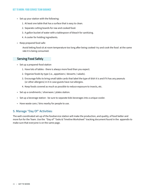- Set up your station with the following:
	- 1. At least one table that has a surface that is easy to clean.
	- 2. Separate cutting boards for raw and cooked food.
	- 3. A gallon bucket of water with a tablespoon of bleach for sanitizing.
	- 4. A cooler for holding ingredients.
- Keep prepared food safe:

Avoid letting food sit at room temperature too long after being cooked–try and cook the food at the same rate it is being consumed.

#### **Serving Food Safely**

- Set up a prepared-food station
	- 1. Have lots of tables there is always more food than you expect.
	- 2. Organize foods by type (i.e., appetizers / desserts / salads).
	- 3. Encourage folks to bring small table cards that label the type of dish it is and if it has any peanuts (or other allergens) in it in case guests have nut allergies.
	- 4. Keep foods covered as much as possible to reduce exposure to insects, etc.
- Set up a condiments / silverware / plates station.
- Set up a beverage station be sure to separate kids beverages into a unique cooler.
- Have waste cans / bins nearby for people to use.

#### **5. Manage "Day Of" Activities:**

The well-coordinated set-up of the foodservice station will make the production, and quality, of food better and more fun for the Team. Use the "Day of" Tasks & Timeline Worksheet" tracking document found in the appendix to make sure that everyone is on the same page.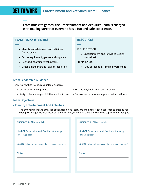**From music to games, the Entertainment and Activities Team is charged with making sure that everyone has a fun and safe experience.**

#### **TEAM RESPONSIBILITIES**

**—**

**—**

- **• Identify entertainment and activities for the event**
- **• Secure equipment, games and supplies**
- **• Recruit & coordinate volunteers**
- **• Organize and manage "day of" activities**

#### **RESOURCES**

**—** 

#### **IN THIS SECTION:**

**• Entertainment and Activities Design Worksheet** 

#### **IN APPENDIX:**

**• "Day of" Tasks & Timeline Worksheet**

#### **Team Leadership Guidance**

Here are a few tips to ensure your team's success:

- 
- 
- Create goals and objectives Use the Playbook's tools and resources
- Assign roles and responsibilities and track them Stay connected via meetings and online platforms

#### **Team Objectives**

#### **• Identify Entertainment And Activities**

The entertainment and activities options for a block party are unlimited. A good approach to creating your strategy is to organize your ideas by audience, type, or both. Use the table below to capture your thoughts.

| Audience (i.e. Children, Adults)                                 |  |
|------------------------------------------------------------------|--|
| Kind Of Entertainment / Activity (i.e. Jumpy<br>House, Egg Toss) |  |
| <b>Source</b> (where will you secure the equipment /supplies)    |  |
| Notes:                                                           |  |
|                                                                  |  |
|                                                                  |  |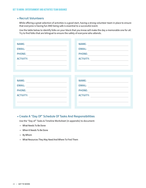#### **• Recruit Volunteers**

While offering a great selection of activities is a good start, having a strong volunteer team in place to ensure that everyone is having fun AND being safe is essential to a successful event.

Use the table below to identify folks on your block that you know will make the day a memorable one for all. Try to find folks that are bilingual to ensure the safety of everyone who attends.

| <b>NAME:</b>     | <b>NAME:</b>     |
|------------------|------------------|
| <b>EMAIL:</b>    | <b>EMAIL:</b>    |
| <b>PHONE:</b>    | <b>PHONE:</b>    |
| <b>ACTIVITY:</b> | <b>ACTIVITY:</b> |
|                  |                  |
|                  |                  |
|                  |                  |
| <b>NAME:</b>     | <b>NAME:</b>     |
| <b>EMAIL:</b>    | <b>EMAIL:</b>    |
| <b>PHONE:</b>    | <b>PHONE:</b>    |
| <b>ACTIVITY:</b> | <b>ACTIVITY:</b> |
|                  |                  |
|                  |                  |

#### **• Create A "Day Of" Schedule Of Tasks And Responsibilities**

Use the "Day of" Tasks & Timeline Worksheet (in appendix) to document:

- What Needs To Be Done
- When It Needs To Be Done
- By Whom
- What Resources They May Need And Where To Find Them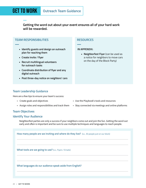**Getting the word out about your event ensures all of your hard work will be rewarded.**

#### **TEAM RESPONSIBILITIES**

**—**

**—**

- **• Identify guests and design an outreach plan for reaching them**
- **• Create invite / flyer**
- **• Recruit multilingual volunteers for outreach tasks**
- **• Coordinate distribution of flyer and any digital outreach**
- **• Post three-day notice on neighbors' cars**

#### **RESOURCES**

#### **IN APPENDIX:**

**—**

**• Neighborfest Flyer** (can be used as a notice for neighbors to move cars on the day of the Block Party)

#### **Team Leadership Guidance**

Here are a few tips to ensure your team's success:

- 
- 
- Create goals and objectives Use the Playbook's tools and resources
- Assign roles and responsibilities and track them Stay connected via meetings and online platforms

#### **Team Objectives**

#### **Identify Your Audience**

Neighborfest parties are only a success if your neighbors come out and join the fun. Getting the word out early and often is important and be sure to use multiple techniques and languages to reach people.

| How many people are we inviting and where do they live? (i.e., 30 people just on our block) |  |  |
|---------------------------------------------------------------------------------------------|--|--|
|                                                                                             |  |  |
| <b>What tools are we going to use?</b> (i.e., Flyers / Emails)                              |  |  |
|                                                                                             |  |  |
| What languages do our audience speak aside from English?                                    |  |  |
|                                                                                             |  |  |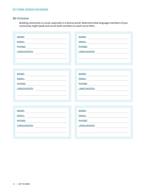#### **Be Inclusive**

Building community is crucial, especially in a diverse world. Determine what languages members of your community might speak and recruit team members to reach out to them.

| <b>NAME:</b>                                                                                                                                                                                                                  | <b>NAME:</b>                                                                                                                                                                                                                  |
|-------------------------------------------------------------------------------------------------------------------------------------------------------------------------------------------------------------------------------|-------------------------------------------------------------------------------------------------------------------------------------------------------------------------------------------------------------------------------|
| <b>EMAIL:</b>                                                                                                                                                                                                                 | <b>EMAIL:</b><br><u> 1980 - John Stein, amerikansk politiker (</u>                                                                                                                                                            |
| <b>PHONE:</b>                                                                                                                                                                                                                 | <b>PHONE:</b>                                                                                                                                                                                                                 |
| LANGUAGE(S): <b>www.community.community.community.</b>                                                                                                                                                                        | LANGUAGE(S):                                                                                                                                                                                                                  |
|                                                                                                                                                                                                                               |                                                                                                                                                                                                                               |
|                                                                                                                                                                                                                               |                                                                                                                                                                                                                               |
|                                                                                                                                                                                                                               |                                                                                                                                                                                                                               |
|                                                                                                                                                                                                                               |                                                                                                                                                                                                                               |
| <b>NAME:</b>                                                                                                                                                                                                                  | <b>NAME:</b>                                                                                                                                                                                                                  |
| <b>EMAIL:</b>                                                                                                                                                                                                                 | <b>EMAIL:</b>                                                                                                                                                                                                                 |
| <b>PHONE:</b>                                                                                                                                                                                                                 | PHONE:                                                                                                                                                                                                                        |
| LANGUAGE(S):                                                                                                                                                                                                                  | LANGUAGE(S):<br><u> 1989 - Andrea State Barbara, politik e</u>                                                                                                                                                                |
|                                                                                                                                                                                                                               |                                                                                                                                                                                                                               |
|                                                                                                                                                                                                                               |                                                                                                                                                                                                                               |
|                                                                                                                                                                                                                               |                                                                                                                                                                                                                               |
| <b>NAME:</b>                                                                                                                                                                                                                  | <b>NAME:</b>                                                                                                                                                                                                                  |
|                                                                                                                                                                                                                               |                                                                                                                                                                                                                               |
| <b>EMAIL:</b>                                                                                                                                                                                                                 | EMAIL:                                                                                                                                                                                                                        |
| <b>PHONE:</b><br><u> 1989 - Johann Stein, fransk politik (</u>                                                                                                                                                                | <b>PHONE:</b><br><u> 1989 - Andrea State Barbara, pre</u>                                                                                                                                                                     |
| LANGUAGE(S): And the contract of the contract of the contract of the contract of the contract of the contract of the contract of the contract of the contract of the contract of the contract of the contract of the contract | LANGUAGE(S): And the contract of the contract of the contract of the contract of the contract of the contract of the contract of the contract of the contract of the contract of the contract of the contract of the contract |
|                                                                                                                                                                                                                               |                                                                                                                                                                                                                               |
|                                                                                                                                                                                                                               |                                                                                                                                                                                                                               |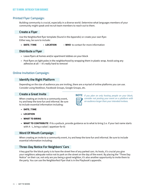#### **Printed Flyer Campaign:**

Building community is crucial, especially in a diverse world. Determine what languages members of your community might speak and recruit team members to reach out to them.

#### **Create a Flyer**

Use the Neighborfest flyer template (found in the Appendix) or create your own flyer. Either way, be sure to include:

**• DATE / TIME** • **LOCATION** • **WHO** to contact for more information

#### **Distribute a Flyer**

- Leave flyers at homes and/or apartment lobbies on your block
- Post flyers on light poles in the neighborhood by wrapping them in plastic wrap. Avoid using any adhesive at all — it's really hard to remove!

#### **Online Invitation Campaign:**

#### **Identify the Right Platform**

Depending on the size of audience you are inviting, there are a myriad of online platforms you can use. Consider using NextDoor, Facebook Groups, Google Groups, etc.

#### **Create a Great Invite**

When creating an invite to a community event, try and keep the tone fun and informal. Be sure to include essential information including:

*If you plan on only hosting people on your block, consider not posting your event on a platform with an audience larger than your intended invitees.*

- **• DATE / TIME**
- **• LOCATION**
- **• WHAT TO BRING**
- **• WHAT TO CONTRIBUTE** If its a potluck, provide guidance as to what to bring (i.e. if your last name starts with A - L, bring a salad / appetizer for 8)

#### **Word Of Mouth Campaign**

When creating an invite to a community event, try and keep the tone fun and informal. Be sure to include essential information including:

#### **Three-Day Notice For Neighbors' Cars**

A key goal for the block party is to have the street free of any parked cars. As hosts, it's crucial you give your neighbors adequate notice not to park on the street on the day of the event. By placing the "Three Day Notice" on their car, not only are you being a good neighbor, it's also another opportunity to invite them to the party. You can use the Neighborfest Flyer that is in the Playbook's appendix.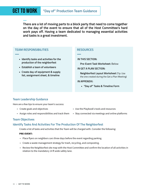**There are a lot of moving parts to a block party that need to come together on the day of the event to ensure that all of the Host Committee's hard work pays off. Having a team dedicated to managing essential activities and tasks is a great investment.**

#### **TEAM RESPONSIBILITIES**

**—**

**—**

- **• Identify tasks and activities for the production of the neighborfest**
- **• Establish a team of volunteers**
- **• Create day-of equipment & supply list, assignment sheet, & timeline**

#### **RESOURCES**

**—**

**IN THIS SECTION:**

**Pre-Event Task Worksheet:** Below

**IN GET A PLAN SECTION:**

**Neighborfest Layout Worksheet** (Tip: Use the one created during the Get a Plan Meeting)

#### **IN APPENDIX:**

**• "Day of" Tasks & Timeline Form**

#### **Team Leadership Guidance**

Here are a few tips to ensure your team's success:

- 
- 
- Create goals and objectives Use the Playbook's tools and resources
- Assign roles and responsibilities and track them Stay connected via meetings and online platforms

#### **Team Objectives**

#### **Identify Tasks And Activities For The Production Of The Neighborfest**

Create a list of tasks and activities that the Team will be charged with. Consider the following:

#### **PRE-EVENT:**

- Place flyers on neighbors cars three days before the event regarding parking.
- Create a waste management strategy for trash, recycling, and composting.
- Review the Neighborfest site map with the Host Committee and confirm the location of all activities in relation to the mandatory 14 ft wide safety lane.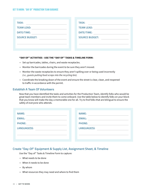| <b>TASK:</b>          | <b>TASK:</b>          |
|-----------------------|-----------------------|
| <b>TEAM LEAD:</b>     | <b>TEAM LEAD:</b>     |
| <b>DATE/TIME:</b>     | <b>DATE/TIME:</b>     |
| <b>SOURCE BUDGET:</b> | <b>SOURCE BUDGET:</b> |
|                       |                       |
|                       |                       |

#### **"DAY OF" ACTIVITIES - USE THE "DAY OF" TASKS & TIMELINE FORM:**

- Set up barricades, tables, chairs, and waste receptacles.
- Monitor the barricades during the event to be sure they aren't moved.
- Monitor the waste receptacles to ensure they aren't spilling over or being used incorrectly *(i.e., guests putting food scraps into the recycling bin).*
- Coordinate the breaking down of the event and ensure the street is clear, clean, and reopened to traffic in accordance with the permit.

#### **Establish A Team Of Volunteers**

Now that you have identified the tasks and activities for the Production Team, identify folks who would be great team members and invite them to come onboard. Use the table below to identify folks on your block that you know will make the day a memorable one for all. Try to find folks that are bilingual to ensure the safety of everyone who attends.

| <b>NAME:</b>  | <b>NAME:</b>  |
|---------------|---------------|
| <b>EMAIL:</b> | <b>EMAIL:</b> |
| <b>PHONE:</b> | <b>PHONE:</b> |
| LANGUAGE(S):  | LANGUAGE(S):  |
|               |               |
|               |               |

#### **Create "Day-Of" Equipment & Supply List, Assignment Sheet, & Timeline**

Use the "Day of" Tasks & Timeline Form to capture:

- What needs to be done
- When it needs to be done
- By whom
- What resources they may need and where to find them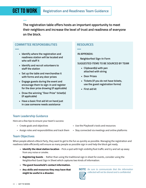**The registration table offers hosts an important opportunity to meet their neighbors and increase the level of trust and readiness of everyone on the block.**

#### **COMMITTEE RESPONSIBILITIES**

**—**

**—**

- **• Identify where the registration and readiness station will be located and who will staff it**
- **• Identify and recruit volunteers to staff the station**
- **• Set up the table and merchandise it with forms and any door prizes**
- **• Engage guests during the event and encourage them to sign-in and register for the door prize drawing (if applicable)**
- **• Draw the winning "Door Prize" ticket(s) (if applicable)**
- **• Have a basic first aid kit on hand just in case someone needs assistance**

#### **RESOURCES**

#### **IN APPENDIX:**

**—**

**Neighborfest Sign-In Form**

**SUGGESTED ITEMS TO BE SOURCED BY TEAM**

- **• Clipboard(s) with pen attached with string**
- **• Door Prizes**
- **• Tickets (if you do not have tickets, use the guest registration forms)**
- **• First aid kit**

#### **Team Leadership Guidance**

Here are a few tips to ensure your team's success:

- 
- 

#### **Team Objectives**

When people attend a Block Party, they want to get to the fun as quickly as possible. Managing the registration and readiness table efficiently will ensure as many people as possible sign in and help the block get ready.

- **• Identify the ideal station location**  Pick a spot with high visibility/foot traffic and try and set up away from any noise or smoke.
- **• Registering Guests** Rather than using the traditional sign in sheet for events, consider using the Neighborfest Guest Sign in Sheet which captures two kinds of information:
- **• The guest household's contact information.**
- **• Any skills and resources they may have that might be useful in a disaster.**



• Assign roles and responsibilities and track them • Stay connected via meetings and online platforms



*Be sure to communicate that the information*  **NOTE** *collected will not be shared and is confidential.*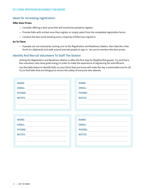#### **Ideas for increasing registration:**

#### **Offer Door Prizes**

- Consider offering a door prize that will incentivize people to register.
- Provide folks with a ticket once they register or simply select from the completed registration forms.
- Conduct the door prize drawing once a majority of folks have signed in.

#### **Go To Them**

• If people are not voluntarily coming over to the Registration and Readiness Station, then take the a few forms on clipboards and walk around and ask people to sign in - be sure to mention the door prizes.

#### **Identify And Recruit Volunteers To Staff The Station**

Visiting the Registration and Readiness Station is often the first stop for Neighborfest guests. Try and find a few volunteers who have great energy in order to make the experience of registering fun and efficient.

Use the table below to identify folks on your block that you know will make the day a memorable one for all. Try to find folks that are bilingual to ensure the safety of everyone who attends.

| <b>NAME:</b>  | <b>NAME:</b>  |
|---------------|---------------|
| <b>EMAIL:</b> | <b>EMAIL:</b> |
| <b>PHONE:</b> | <b>PHONE:</b> |
| <b>NOTES:</b> | <b>NOTES:</b> |
|               |               |
|               |               |
|               |               |
|               |               |
| <b>NAME:</b>  | <b>NAME:</b>  |
| <b>EMAIL:</b> | <b>EMAIL:</b> |
| <b>PHONE:</b> | <b>PHONE:</b> |
| <b>NOTES:</b> | <b>NOTES:</b> |
|               |               |
|               |               |
|               |               |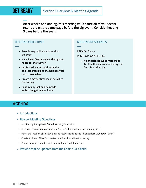**—**

**— After weeks of planning, this meeting will ensure all of your event teams are on the same page before the big event! Consider hosting 3 days before the event.**

#### **MEETING OBJECTIVES**

- **• Provide any topline updates about the event**
- **• Have Event Teams review their plans/ needs for the "Day of"**
- **• Verify the location of all activities and resources using the Neighborfest Layout Worksheet**
- **• Create a master timeline of activities for the day**
- **• Capture any last minute needs and/or budget related items**

#### **MEETING RESOURCES**

#### **AGENDA:** Below

**—**

**IN GET A PLAN SECTION:** 

**• Neighborfest Layout Worksheet**  Tip: Use the one created during the Get a Plan Meeting

### AGENDA

- **Introductions**
- **Review Meeting Objectives**
- Provide topline updates from the Chair / Co-Chairs
- Have each Event Team review their 'day of" plans and any outstanding needs
- Verify the location of all activities and resources using the Neighborfest Layout Worksheet
- Create a "Run of Show" or master timeline of activities for the day
- Capture any last minute needs and/or budget-related items
- **Provide topline updates from the Chair / Co-Chairs**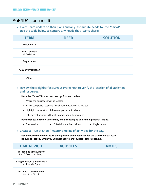### AGENDA (Continued)

**• Event Team update on their plans and any last minute needs for the "day of." Use the table below to capture any needs that Teams share:**

| <b>TEAM</b>                   | <b>NEED</b> | <b>SOLUTION</b> |
|-------------------------------|-------------|-----------------|
| Foodservice                   |             |                 |
| Entertainment<br>& Activities |             |                 |
| Registration                  |             |                 |
| "Day of" Production           |             |                 |
| Other                         |             |                 |

#### **• Review the Neighborfest Layout Worksheet to verify the location of all activities and resources.**

#### **Have the "Day of" Production team go first and review:**

- Where the barricades will be located.
- Where compost / recycling / trash receptacles will be located.
- Highlight the location of the emergency vehicle lane.
- Other event attributes that all Teams should be aware of.

#### **Have each team review where they will be setting up and running their activities.**

• Foodservice • Entertainment & Activities • Registration

#### **• Create a "Run of Show" master timeline of activities for the day.**

**Use the table below to capture the high level event activities for the day from each Team. Be sure to identify when you will host your Team "huddle" before opening.**

| <b>TIME PERIOD</b>                                  | <b>ACTIVITES</b> | <b>NOTES</b> |
|-----------------------------------------------------|------------------|--------------|
| Pre-opening time window<br>(i.e., 8:30am to 11am)   |                  |              |
| During the Event time window<br>(i.e., 11am to 3pm) |                  |              |
| Post Event time window<br>(i.e., After 3pm)         |                  |              |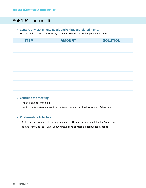## AGENDA (Continued)

**• Capture any last minute needs and/or budget related items.**

 **Use the table below to capture any last minute needs and/or budget-related items.**

| <b>ITEM</b> | <b>AMOUNT</b> | <b>SOLUTION</b> |
|-------------|---------------|-----------------|
|             |               |                 |
|             |               |                 |
|             |               |                 |
|             |               |                 |
|             |               |                 |

#### **• Conclude the meeting.**

- Thank everyone for coming.
- Remind the Team Leads what time the Team "huddle" will be the morning of the event.

#### **• Post-meeting Activities**

- Draft a follow-up email with the key outcomes of the meeting and send it to the Committee.
- Be sure to include the "Run of Show" timeline and any last minute budget guidance.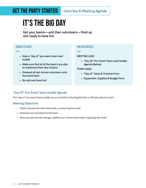## **GET THE PARTY STARTED** Overview & Meeting Agenda

## it's the big day

**Get your teams—and their volunteers—fired up and ready to have fun.**

#### **OBJECTIVES**

**—**

- **• Host a "day of" pre-event team lead huddle**
- **• Make sure that all of the team's are able to implement their day of plans**
- **• Onboard all last minute volunteers onto the event team**
- **• Be safe and have fun!**

#### **RESOURCES**

**—**

#### **MEETING LEAD**

**• "Day Of" Pre-Event Team Lead Huddle Agenda (below)**

#### **TEAM LEADS**

- **• "Day of" Tasks & Timeline Form**
- **• Equipment, Supplies & Budget Form**

#### **"Day Of" Pre-Event Team Huddle Agenda**

The "day of" pre-event team huddle occurs just before the Neighborfest is officially about to start.

#### **Meeting Objectives**

- Thank everyone for their hard work in producing the event.
- Onboard new volunteers to the team.
- Share any last minute changes, additions or critical information regarding the event.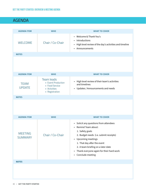## AGENDA

| <b>AGENDA ITEM</b>               | <b>WHO</b>                                                                                            | <b>WHAT TO COVER</b>                                                                                                                                                                                                                                                                                              |
|----------------------------------|-------------------------------------------------------------------------------------------------------|-------------------------------------------------------------------------------------------------------------------------------------------------------------------------------------------------------------------------------------------------------------------------------------------------------------------|
| <b>WELCOME</b>                   | Chair / Co-Chair                                                                                      | • Welcome & Thank You's<br>• Introductions<br>High level review of the day's activities and timeline<br>$\bullet$<br>Announcements<br>$\bullet$                                                                                                                                                                   |
| <b>NOTES</b>                     |                                                                                                       |                                                                                                                                                                                                                                                                                                                   |
|                                  |                                                                                                       |                                                                                                                                                                                                                                                                                                                   |
| <b>AGENDA ITEM</b>               | <b>WHO</b>                                                                                            | <b>WHAT TO COVER</b>                                                                                                                                                                                                                                                                                              |
| <b>TEAM</b><br><b>UPDATE</b>     | <b>Team leads</b><br><b>Event Production</b><br>• Food Service<br><b>Activities</b><br>• Registration | High level review of their team's activities<br>and timelines<br>• Updates / Announcements and needs                                                                                                                                                                                                              |
| <b>NOTES</b>                     |                                                                                                       |                                                                                                                                                                                                                                                                                                                   |
|                                  |                                                                                                       |                                                                                                                                                                                                                                                                                                                   |
| <b>AGENDA ITEM</b>               | <b>WHO</b>                                                                                            | <b>WHAT TO COVER</b>                                                                                                                                                                                                                                                                                              |
| <b>MEETING</b><br><b>SUMMARY</b> | Chair / Co-Chair                                                                                      | • Solicit any questions from attendees<br>Remind Team about:<br>$\bullet$<br>1. Safety goals<br>2. Budget needs (i.e. submit receipts)<br>• Upcoming meetings<br>1. That day after the event<br>2. A team briefing on a later date<br>Thank everyone again for their hard work<br>$\bullet$<br>• Conclude meeting |
| <b>NOTES</b>                     |                                                                                                       |                                                                                                                                                                                                                                                                                                                   |
|                                  |                                                                                                       |                                                                                                                                                                                                                                                                                                                   |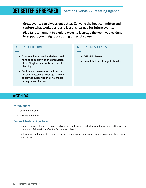**— Great events can always get better. Convene the host committee and capture what worked and any lessons learned for future events.** 

**Also take a moment to explore ways to leverage the work you've done to support your neighbors during times of stress.**

**—**

#### **MEETING OBJECTIVES**

- **• Capture what worked and what could have gone better with the production of the Neighborfest for future event planning.**
- **• Facilitate a conversation on how the host committee can leverage its work to provide support to their neighbors during times of stress.**

#### **MEETING RESOURCES**

- **• AGENDA: Below**
- **• Completed Guest Registration Forms**

### AGENDA

**—**

#### **Introductions**

- Chair and Co-Chair
- Meeting attendees

#### **Review Meeting Objectives**

- Conduct a lessons-learned exercise and capture what worked and what could have gone better with the production of the Neighborfest for future event planning.
- Explore ways that our host committee can leverage its work to provide support to our neighbors during times of stress.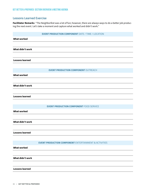#### **Lessons Learned Exercise**

**Facilitator Remarks** "The Neighborfest was a lot of fun; however, there are always ways to do a better job producing the next event. Let's take a moment and capture what worked and didn't work."

|                        | <b>EVENT PRODUCTION COMPONENT DATE / TIME / LOCATION</b>         |
|------------------------|------------------------------------------------------------------|
| <b>What worked</b>     |                                                                  |
|                        |                                                                  |
| What didn't work       |                                                                  |
|                        |                                                                  |
| <b>Lessons learned</b> |                                                                  |
|                        |                                                                  |
|                        | <b>EVENT PRODUCTION COMPONENT OUTREACH</b>                       |
| <b>What worked</b>     |                                                                  |
|                        |                                                                  |
| What didn't work       |                                                                  |
|                        |                                                                  |
| <b>Lessons learned</b> |                                                                  |
|                        |                                                                  |
|                        | <b>EVENT PRODUCTION COMPONENT FOOD SERVICE</b>                   |
| <b>What worked</b>     |                                                                  |
|                        |                                                                  |
| What didn't work       |                                                                  |
|                        |                                                                  |
| <b>Lessons learned</b> |                                                                  |
|                        |                                                                  |
| <b>What worked</b>     | <b>EVENT PRODUCTION COMPONENT ENTERTAINMENT &amp; ACTIVITIES</b> |
|                        |                                                                  |
| What didn't work       |                                                                  |
|                        |                                                                  |
| <b>Lessons learned</b> |                                                                  |
|                        |                                                                  |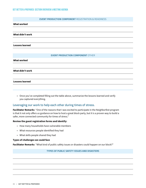#### **EVENT PRODUCTION COMPONENT** REGISTRATION & READINESS

#### **What worked**

**What didn't work**

**Lessons learned**

#### **EVENT PRODUCTION COMPONENT** OTHER

**What worked**

**What didn't work**

#### **Lessons learned**

• Once you've completed filling out the table above, summarize the lessons learned and verify you captured everything.

#### **Leveraging our work to help each other during times of stress.**

**Facilitator Remarks** "One of the reasons that I was excited to participate in the Neighborfest program is that it not only offers us guidance on how to host a great block party, but it is a proven way to build a safer, more connected community for times of stress."

#### **Review the guest registration forms and identify:**

- How many households have vulnerable members
- What resources people identified they had
- What skills people shared they had

#### **Types of challenges we could face**

**Facilitator Remarks** "What kind of public safety issues or disasters could happen on our block?"

#### **TYPES OF PUBLIC SAFETY ISSUES AND DISASTERS**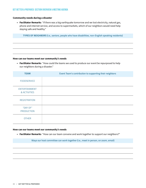#### GET better & prepared: Section Overview & Meeting Agenda

#### **Community needs during a disaster**

**• Facilitator Remarks** "If there was a big earthquake tomorrow and we lost electricity, natural gas, phone and internet service, and access to supermarkets, which of our neighbors would need help staying safe and healthy."

**TYPES OF NEIGHBORS (i.e., seniors, people who have disabilities, non-English speaking residents)** 

#### **How can our teams meet our community's needs**

**• Facilitator Remarks** "How could the teams we used to produce our event be repurposed to help our neighbors during a disaster."

| <b>TEAM</b>                          | Event Team's contribution to supporting their neighbors |
|--------------------------------------|---------------------------------------------------------|
| <b>FOODSERVICE</b>                   |                                                         |
| <b>ENTERTAINMENT</b><br>& ACTIVITIES |                                                         |
| <b>REGISTRATION</b>                  |                                                         |
| "DAY OF"<br><b>PRODUCTION</b>        |                                                         |
| <b>OTHER</b>                         |                                                         |

#### **How can our teams meet our community's needs**

**• Facilitator Remarks** "How can our team convene and work together to support our neighbors?"

**Ways our host committee can work together (i.e., meet in person, on zoom, email)**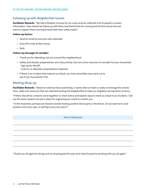#### **Following up with Neighborfest Guests**

**Facilitator Remarks** "We had a fantastic turnout for our event and we collected a lot of people's contact information. How should we follow up with them and thank them for coming and let them know how we want to support them moving forward with their safety needs."

#### **Follow-up tactics:**

- Send an email to everyone who attended.
- Drop off a note at their house.
- Both

#### **Follow-up messages to consider:**

- Thank you for attending, see you around the neighborhood.
- Safety and disaster preparedness are a top priority, here are some resources to consider for your household. - Sign up for AlertSF.
	- Links to, or attached, preparedness materials.
- If there is an incident that impacts our block, our host committee may reach out to see if your household is OK.

#### **Meeting Wrap-up**

**Facilitator Remarks** "Based on what we discussed today, it seems like our team is ready to leverage the connections, skills and resources that we collected hosting the Neighborfest to help our neighbors during times of stress.

"If there should be a need to come together on short notice and explore ways to work as a team to an incident, I will use the same systems we put in place for organizing our event to contact you.

"In the meantime, perhaps we should consider hosting another block party in the future. Do we want to try and produce one every year, or perhaps every two years?"

**Team's Responses**

"Thank you all again for doing such an amazing job this year and I look forward to working with you all again."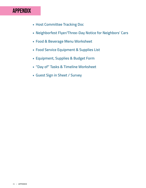## APPENDIX

- **Host Committee Tracking Doc**
- **Neighborfest Flyer/Three-Day Notice for Neighbors' Cars**
- **Food & Beverage Menu Worksheet**
- **Food Service Equipment & Supplies List**
- **Equipment, Supplies & Budget Form**
- **"Day of" Tasks & Timeline Worksheet**
- **Guest Sign in Sheet / Survey**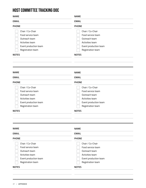## Host Committee Tracking Doc

Chair / Co-Chair Food service team Outreach team

| <b>NAME</b>                                                                                                                             | <b>NAME</b>                                                                                                                             |  |
|-----------------------------------------------------------------------------------------------------------------------------------------|-----------------------------------------------------------------------------------------------------------------------------------------|--|
| <b>EMAIL</b>                                                                                                                            | <b>EMAIL</b>                                                                                                                            |  |
| <b>PHONE</b>                                                                                                                            | <b>PHONE</b>                                                                                                                            |  |
| Chair / Co-Chair<br>Food service team<br>Outreach team<br>Activities team<br>Event production team<br>Registration team<br><b>NOTES</b> | Chair / Co-Chair<br>Food service team<br>Outreach team<br>Activities team<br>Event production team<br>Registration team<br><b>NOTES</b> |  |
| <b>NAME</b>                                                                                                                             | <b>NAME</b>                                                                                                                             |  |
| <b>EMAIL</b>                                                                                                                            | <b>EMAIL</b>                                                                                                                            |  |
| <b>PHONE</b>                                                                                                                            | <b>PHONE</b>                                                                                                                            |  |

| Activities team       | Activities team       |  |
|-----------------------|-----------------------|--|
| Event production team | Event production team |  |
| Registration team     | Registration team     |  |
| <b>NOTES</b>          | <b>NOTES</b>          |  |
|                       |                       |  |
| <b>NAME</b>           | <b>NAME</b>           |  |
| <b>EMAIL</b>          | <b>EMAIL</b>          |  |
| <b>PHONE</b>          | <b>PHONE</b>          |  |

Chair / Co-Chair Food service team Outreach team

| <b>PHONE</b>          |  |
|-----------------------|--|
| Chair / Co-Chair      |  |
| Food service team     |  |
| Outreach team         |  |
| Activities team       |  |
| Event production team |  |
| Registration team     |  |
| <b>NOTES</b>          |  |
|                       |  |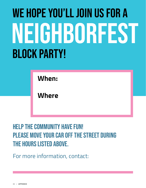# We Hope You'll Join Us For A BLOCK PARTY! NEIGHBORFEST

**When:**

**Where**

HELP THE COMMUNITY HAVE FUN! PLEASE MOVE YOUR CAR OFF THE STREET DURING the hours listed above.

For more information, contact: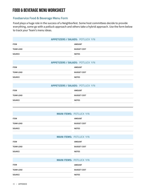## Food & Beverage Menu Worksheet

#### **Foodservice Food & Beverage Menu Form**

Food plays a huge role in the success of a Neighborfest. Some host committees decide to provide everything, some go with a potluck approach and others take a hybrid approach. Use the form below to track your Team's menu ideas.

| <b>APPETIZERS / SALADS: POTLUCK Y/N</b> |                                         |  |  |  |
|-----------------------------------------|-----------------------------------------|--|--|--|
| <b>ITEM</b>                             | <b>AMOUNT</b>                           |  |  |  |
| <b>TEAM LEAD</b>                        | <b>BUDGET COST</b>                      |  |  |  |
| <b>SOURCE</b>                           | <b>NOTES</b>                            |  |  |  |
|                                         | <b>APPETIZERS / SALADS: POTLUCK Y/N</b> |  |  |  |
| <b>ITEM</b>                             | <b>AMOUNT</b>                           |  |  |  |
| <b>TEAM LEAD</b>                        | <b>BUDGET COST</b>                      |  |  |  |
| <b>SOURCE</b>                           | <b>NOTES</b>                            |  |  |  |
|                                         | <b>APPETIZERS / SALADS: POTLUCK Y/N</b> |  |  |  |

| <b>ITEM</b>      | <b>AMOUNT</b>      |
|------------------|--------------------|
| <b>TEAM LEAD</b> | <b>BUDGET COST</b> |
| SOURCE           | <b>NOTES</b>       |

|                  | <b>MAIN ITEMS: POTLUCK Y/N</b> |
|------------------|--------------------------------|
| <b>ITEM</b>      | <b>AMOUNT</b>                  |
| <b>TEAM LEAD</b> | <b>BUDGET COST</b>             |
| <b>SOURCE</b>    | <b>NOTES</b>                   |
|                  |                                |
|                  | <b>MAIN ITEMS: POTLUCK Y/N</b> |

| <b>ITEM</b>      | <b>AMOUNT</b>      |  |
|------------------|--------------------|--|
| <b>TEAM LEAD</b> | <b>BUDGET COST</b> |  |
| <b>SOURCE</b>    | <b>NOTES</b>       |  |

|                  | <b>MAIN ITEMS: POTLUCK Y/N</b> |
|------------------|--------------------------------|
| <b>ITEM</b>      | <b>AMOUNT</b>                  |
| <b>TEAM LEAD</b> | <b>BUDGET COST</b>             |
| <b>SOURCE</b>    | <b>NOTES</b>                   |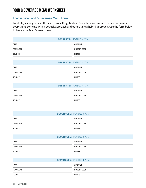## Food & Beverage Menu Worksheet

#### **Foodservice Food & Beverage Menu Form**

Food plays a huge role in the success of a Neighborfest. Some host committees decide to provide everything, some go with a potluck approach and others take a hybrid approach. Use the form below to track your Team's menu ideas.

|                  | <b>DESSERTS: POTLUCK Y/N</b> |
|------------------|------------------------------|
| <b>ITEM</b>      | <b>AMOUNT</b>                |
| <b>TEAM LEAD</b> | <b>BUDGET COST</b>           |
| SOURCE           | <b>NOTES</b>                 |
|                  | <b>DESSERTS: POTLUCK Y/N</b> |
| <b>ITEM</b>      | <b>AMOUNT</b>                |
| <b>TEAM LEAD</b> | <b>BUDGET COST</b>           |
| <b>SOURCE</b>    | <b>NOTES</b>                 |
|                  | <b>DESSERTS: POTLUCK Y/N</b> |
| <b>ITEM</b>      | <b>AMOUNT</b>                |
| <b>TEAM LEAD</b> | <b>BUDGET COST</b>           |
| <b>SOURCE</b>    | <b>NOTES</b>                 |
|                  |                              |

|                  | <b>BEVERAGES: POTLUCK Y/N</b> |
|------------------|-------------------------------|
| <b>ITEM</b>      | <b>AMOUNT</b>                 |
| <b>TEAM LEAD</b> | <b>BUDGET COST</b>            |
| <b>SOURCE</b>    | <b>NOTES</b>                  |
|                  |                               |
|                  | <b>BEVERAGES: POTLUCK Y/N</b> |

| <b>ITEM</b>      | <b>AMOUNT</b>      |
|------------------|--------------------|
| <b>TEAM LEAD</b> | <b>BUDGET COST</b> |
| <b>SOURCE</b>    | <b>NOTES</b>       |

|                  | <b>BEVERAGES: POTLUCK Y/N</b> |
|------------------|-------------------------------|
| <b>ITEM</b>      | <b>AMOUNT</b>                 |
| <b>TEAM LEAD</b> | <b>BUDGET COST</b>            |
| <b>SOURCE</b>    | <b>NOTES</b>                  |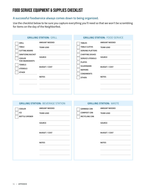## FOOD SERVICE EQUIPMENT & SUPPLIES CHECKLIST

#### **A successful foodservice always comes down to being organized.**

Use the checklist below to be sure you capture everything you'll need so that we won't be scrambling for items on the day of the Neighborfest.

| <b>GRILLING STATION: GRILL</b>                                                                                                                                                                                                                                                       | <b>GRILLING STATION: FOOD SERVICE</b>                                                                                                                                                                                                                                                                            |  |  |
|--------------------------------------------------------------------------------------------------------------------------------------------------------------------------------------------------------------------------------------------------------------------------------------|------------------------------------------------------------------------------------------------------------------------------------------------------------------------------------------------------------------------------------------------------------------------------------------------------------------|--|--|
| <b>AMOUNT NEEDED</b><br><b>GRILL</b><br><b>TABLE</b><br><b>TEAM LEAD</b><br><b>CUTTING BOARD</b><br><b>SANITIZING BUCKET</b><br><b>SOURCE</b><br><b>COOLER</b><br><b>FOR INGREDIENTS</b><br><b>TOWELS</b><br><b>BUDGET / COST</b><br><b>UTENSILS</b><br><b>OTHER</b><br><b>NOTES</b> | <b>AMOUNT NEEDED</b><br><b>TABLES</b><br><b>TABLE CLOTHS</b><br><b>TEAM LEAD</b><br><b>SERVING PLATTERS</b><br><b>CHAFFING DISHES</b><br><b>SOURCE</b><br><b>SERVICE UTENSILS</b><br><b>PLATES</b><br><b>SILVERWARE</b><br><b>BUDGET / COST</b><br><b>NAPKINS</b><br><b>CONDIMENTS</b><br><b>NOTES</b><br>OTHER: |  |  |

| <b>GRILLING STATION: BEVERAGE STATION</b>    |                                          | <b>GRILLING STATION: WASTE</b>                                   |                                          |  |  |
|----------------------------------------------|------------------------------------------|------------------------------------------------------------------|------------------------------------------|--|--|
| <b>COOLER</b><br>ICE<br><b>BOTTLE OPENER</b> | <b>AMOUNT NEEDED</b><br><b>TEAM LEAD</b> | <b>GARBAGE CAN</b><br><b>COMPOST CAN</b><br><b>RECYCLING CAN</b> | <b>AMOUNT NEEDED</b><br><b>TEAM LEAD</b> |  |  |
|                                              | <b>SOURCE</b>                            |                                                                  | <b>SOURCE</b>                            |  |  |
|                                              | <b>BUDGET / COST</b>                     |                                                                  | <b>BUDGET / COST</b>                     |  |  |
|                                              | <b>NOTES</b>                             |                                                                  | <b>NOTES</b>                             |  |  |
|                                              |                                          |                                                                  |                                          |  |  |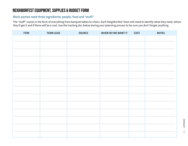## Neighborfest Equipment, Supplies & Budget Form

#### **Block parties need three ingredients; people, food and "stuff."**

The "stuff" comes in the form of everything from banquet tables to chairs. Each Neighborfest Team will need to identify what they need, where they'll get it and if there will be a cost. Use the tracking doc below during your planning process to be sure you don't forget anything.

| <b>ITEM</b> | <b>TEAM LEAD</b> | <b>SOURCE</b> | WHEN DO WE WANT IT | <b>COST</b> | <b>NOTES</b> |
|-------------|------------------|---------------|--------------------|-------------|--------------|
|             |                  |               |                    |             |              |
|             |                  |               |                    |             |              |
|             |                  |               |                    |             |              |
|             |                  |               |                    |             |              |
|             |                  |               |                    |             |              |
|             |                  |               |                    |             |              |
|             |                  |               |                    |             |              |
|             |                  |               |                    |             |              |
|             |                  |               |                    |             |              |
|             |                  |               |                    |             |              |
|             |                  |               |                    |             |              |
|             |                  |               |                    |             |              |
|             |                  |               |                    |             |              |
|             |                  |               |                    |             |              |
|             |                  |               |                    |             |              |
|             |                  |               |                    |             |              |
|             |                  |               |                    |             |              |
|             |                  |               |                    |             |              |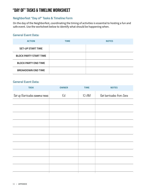## "Day of" Tasks & Timeline Worksheet

#### **Neighborfest "Day of" Tasks & Timeline Form**

On the day of the Neighborfest, coordinating the timing of activities is essential to hosting a fun and safe event. Use the worksheet below to identify what should be happening when.

#### **General Event Data:**

| <b>ACTION</b>                 | <b>TIME</b> | <b>NOTES</b> |
|-------------------------------|-------------|--------------|
| <b>SET-UP START TIME</b>      |             |              |
| <b>BLOCK PARTY START TIME</b> |             |              |
| <b>BLOCK PARTY END TIME</b>   |             |              |
| <b>BREAKDOWN END TIME</b>     |             |              |

#### **General Event Data:**

| <b>TASK</b>                     | <b>OWNER</b> | <b>TIME</b> | <b>NOTES</b>             |
|---------------------------------|--------------|-------------|--------------------------|
| Set up Barricades (SAMPLE TASK) | Ed           | IO AM       | Get barricades from Jane |
|                                 |              |             |                          |
|                                 |              |             |                          |
|                                 |              |             |                          |
|                                 |              |             |                          |
|                                 |              |             |                          |
|                                 |              |             |                          |
|                                 |              |             |                          |
|                                 |              |             |                          |
|                                 |              |             |                          |
|                                 |              |             |                          |
|                                 |              |             |                          |